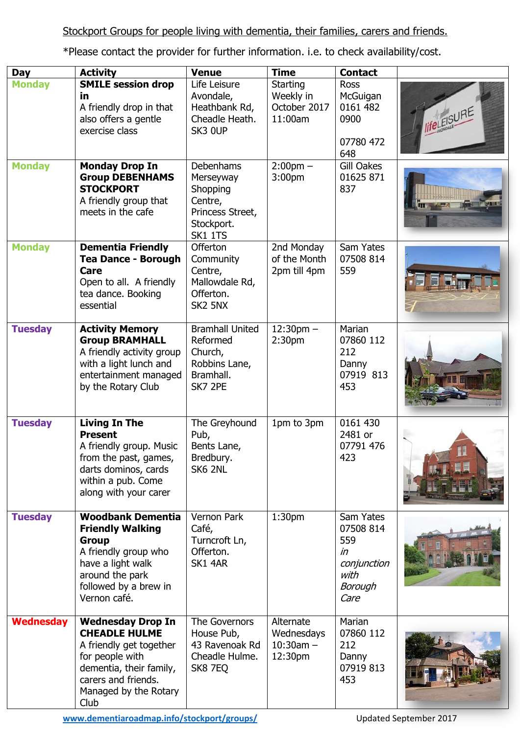\*Please contact the provider for further information. i.e. to check availability/cost.

| <b>Day</b>       | <b>Activity</b>                                                                                                                                                                   | <b>Venue</b>                                                                                              | <b>Time</b>                                          | <b>Contact</b>                                                                       |                    |
|------------------|-----------------------------------------------------------------------------------------------------------------------------------------------------------------------------------|-----------------------------------------------------------------------------------------------------------|------------------------------------------------------|--------------------------------------------------------------------------------------|--------------------|
| <b>Monday</b>    | <b>SMILE session drop</b><br>in<br>A friendly drop in that<br>also offers a gentle<br>exercise class                                                                              | Life Leisure<br>Avondale,<br>Heathbank Rd,<br>Cheadle Heath.<br>SK3 OUP                                   | Starting<br>Weekly in<br>October 2017<br>11:00am     | <b>Ross</b><br>McGuigan<br>0161 482<br>0900<br>07780 472<br>648                      | <b>lifeLEISURE</b> |
| <b>Monday</b>    | <b>Monday Drop In</b><br><b>Group DEBENHAMS</b><br><b>STOCKPORT</b><br>A friendly group that<br>meets in the cafe                                                                 | Debenhams<br>Merseyway<br>Shopping<br>Centre,<br>Princess Street,<br>Stockport.<br><b>SK1 1TS</b>         | $2:00$ pm $-$<br>3:00 <sub>pm</sub>                  | <b>Gill Oakes</b><br>01625 871<br>837                                                |                    |
| <b>Monday</b>    | <b>Dementia Friendly</b><br><b>Tea Dance - Borough</b><br>Care<br>Open to all. A friendly<br>tea dance. Booking<br>essential                                                      | <b>Offerton</b><br>Community<br>Centre,<br>Mallowdale Rd,<br>Offerton.<br>SK <sub>2</sub> 5N <sub>X</sub> | 2nd Monday<br>of the Month<br>2pm till 4pm           | Sam Yates<br>07508 814<br>559                                                        |                    |
| <b>Tuesday</b>   | <b>Activity Memory</b><br><b>Group BRAMHALL</b><br>A friendly activity group<br>with a light lunch and<br>entertainment managed<br>by the Rotary Club                             | <b>Bramhall United</b><br>Reformed<br>Church,<br>Robbins Lane,<br>Bramhall.<br>SK7 2PE                    | $12:30$ pm $-$<br>2:30 <sub>pm</sub>                 | Marian<br>07860 112<br>212<br>Danny<br>07919 813<br>453                              |                    |
| <b>Tuesday</b>   | <b>Living In The</b><br><b>Present</b><br>A friendly group. Music<br>from the past, games,<br>darts dominos, cards<br>within a pub. Come<br>along with your carer                 | The Greyhound<br>Pub,<br>Bents Lane,<br>Bredbury.<br>SK6 2NL                                              | 1pm to 3pm                                           | 0161 430<br>2481 or<br>07791 476<br>423                                              |                    |
| <b>Tuesday</b>   | <b>Woodbank Dementia</b><br><b>Friendly Walking</b><br><b>Group</b><br>A friendly group who<br>have a light walk<br>around the park<br>followed by a brew in<br>Vernon café.      | Vernon Park<br>Café,<br>Turncroft Ln,<br>Offerton.<br>SK1 4AR                                             | 1:30 <sub>pm</sub>                                   | Sam Yates<br>07508 814<br>559<br>in<br>conjunction<br>with<br><b>Borough</b><br>Care |                    |
| <b>Wednesday</b> | <b>Wednesday Drop In</b><br><b>CHEADLE HULME</b><br>A friendly get together<br>for people with<br>dementia, their family,<br>carers and friends.<br>Managed by the Rotary<br>Club | The Governors<br>House Pub,<br>43 Ravenoak Rd<br>Cheadle Hulme.<br>SK8 7EQ                                | Alternate<br>Wednesdays<br>$10:30$ am $-$<br>12:30pm | Marian<br>07860 112<br>212<br>Danny<br>07919 813<br>453                              |                    |

**[www.dementiaroadmap.info/stockport/groups/](http://www.dementiaroadmap.info/stockport/groups/)** Updated September 2017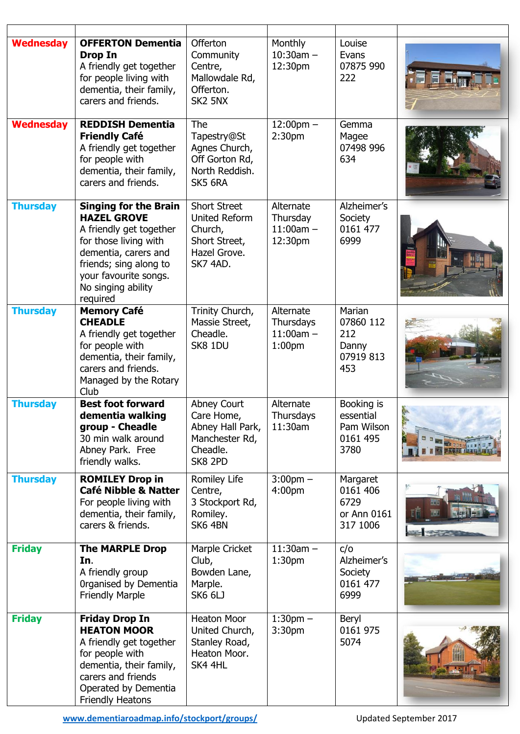| <b>Wednesday</b> | <b>OFFERTON Dementia</b><br><b>Drop In</b><br>A friendly get together<br>for people living with<br>dementia, their family,<br>carers and friends.                                                                   | Offerton<br>Community<br>Centre,<br>Mallowdale Rd,<br>Offerton.<br>SK2 5NX                          | Monthly<br>$10:30am -$<br>12:30pm                           | Louise<br>Evans<br>07875 990<br>222                       |     |
|------------------|---------------------------------------------------------------------------------------------------------------------------------------------------------------------------------------------------------------------|-----------------------------------------------------------------------------------------------------|-------------------------------------------------------------|-----------------------------------------------------------|-----|
| <b>Wednesday</b> | <b>REDDISH Dementia</b><br><b>Friendly Café</b><br>A friendly get together<br>for people with<br>dementia, their family,<br>carers and friends.                                                                     | The<br>Tapestry@St<br>Agnes Church,<br>Off Gorton Rd,<br>North Reddish.<br>SK5 6RA                  | $12:00 \text{pm} -$<br>2:30 <sub>pm</sub>                   | Gemma<br>Magee<br>07498 996<br>634                        |     |
| <b>Thursday</b>  | <b>Singing for the Brain</b><br><b>HAZEL GROVE</b><br>A friendly get together<br>for those living with<br>dementia, carers and<br>friends; sing along to<br>your favourite songs.<br>No singing ability<br>required | <b>Short Street</b><br><b>United Reform</b><br>Church,<br>Short Street,<br>Hazel Grove.<br>SK7 4AD. | Alternate<br>Thursday<br>$11:00am -$<br>12:30pm             | Alzheimer's<br>Society<br>0161 477<br>6999                |     |
| <b>Thursday</b>  | <b>Memory Café</b><br><b>CHEADLE</b><br>A friendly get together<br>for people with<br>dementia, their family,<br>carers and friends.<br>Managed by the Rotary<br>Club                                               | Trinity Church,<br>Massie Street,<br>Cheadle.<br>SK8 1DU                                            | Alternate<br>Thursdays<br>$11:00am -$<br>1:00 <sub>pm</sub> | Marian<br>07860 112<br>212<br>Danny<br>07919 813<br>453   |     |
| <b>Thursday</b>  | <b>Best foot forward</b><br>dementia walking<br>group - Cheadle<br>30 min walk around<br>Abney Park. Free<br>friendly walks.                                                                                        | Abney Court<br>Care Home,<br>Abney Hall Park,<br>Manchester Rd,<br>Cheadle.<br>SK8 2PD              | Alternate<br>Thursdays<br>11:30am                           | Booking is<br>essential<br>Pam Wilson<br>0161 495<br>3780 | δ×. |
| <b>Thursday</b>  | <b>ROMILEY Drop in</b><br><b>Café Nibble &amp; Natter</b><br>For people living with<br>dementia, their family,<br>carers & friends.                                                                                 | Romiley Life<br>Centre,<br>3 Stockport Rd,<br>Romiley.<br>SK6 4BN                                   | $3:00 \text{pm} -$<br>4:00 <sub>pm</sub>                    | Margaret<br>0161 406<br>6729<br>or Ann 0161<br>317 1006   |     |
| <b>Friday</b>    | <b>The MARPLE Drop</b><br>In.<br>A friendly group<br>Organised by Dementia<br><b>Friendly Marple</b>                                                                                                                | Marple Cricket<br>Club,<br>Bowden Lane,<br>Marple.<br>SK6 6LJ                                       | $11:30am -$<br>1:30 <sub>pm</sub>                           | c/o<br>Alzheimer's<br>Society<br>0161 477<br>6999         |     |
| <b>Friday</b>    | <b>Friday Drop In</b><br><b>HEATON MOOR</b><br>A friendly get together<br>for people with<br>dementia, their family,<br>carers and friends<br>Operated by Dementia<br><b>Friendly Heatons</b>                       | <b>Heaton Moor</b><br>United Church,<br>Stanley Road,<br>Heaton Moor.<br>SK4 4HL                    | $1:30$ pm $-$<br>3:30pm                                     | Beryl<br>0161 975<br>5074                                 |     |